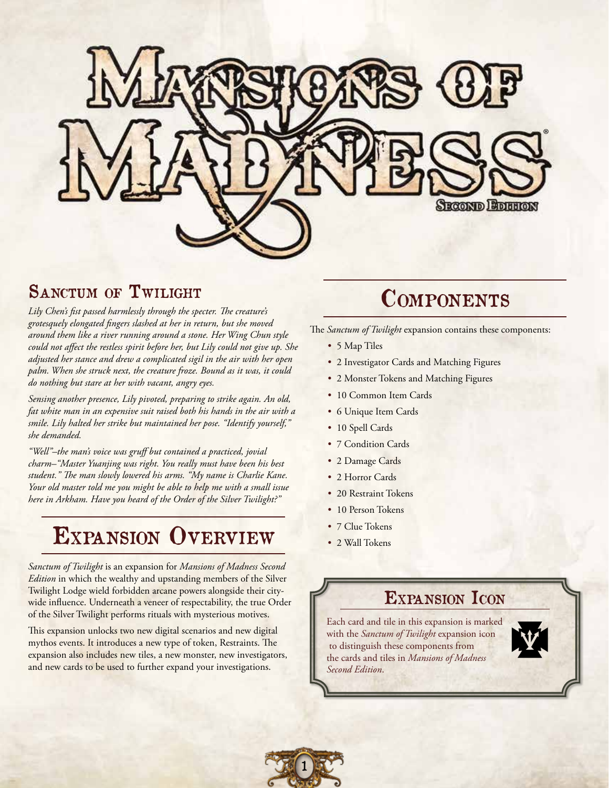

### SANCTUM OF TWILIGHT

*Lily Chen's fist passed harmlessly through the specter. The creature's grotesquely elongated fingers slashed at her in return, but she moved around them like a river running around a stone. Her Wing Chun style could not affect the restless spirit before her, but Lily could not give up. She adjusted her stance and drew a complicated sigil in the air with her open palm. When she struck next, the creature froze. Bound as it was, it could do nothing but stare at her with vacant, angry eyes.*

*Sensing another presence, Lily pivoted, preparing to strike again. An old, fat white man in an expensive suit raised both his hands in the air with a smile. Lily halted her strike but maintained her pose. "Identify yourself," she demanded.*

*"Well"–the man's voice was gruff but contained a practiced, jovial charm–"Master Yuanjing was right. You really must have been his best student." The man slowly lowered his arms. "My name is Charlie Kane. Your old master told me you might be able to help me with a small issue here in Arkham. Have you heard of the Order of the Silver Twilight?"*

# Expansion Overview

*Sanctum of Twilight* is an expansion for *Mansions of Madness Second Edition* in which the wealthy and upstanding members of the Silver Twilight Lodge wield forbidden arcane powers alongside their citywide influence. Underneath a veneer of respectability, the true Order of the Silver Twilight performs rituals with mysterious motives.

This expansion unlocks two new digital scenarios and new digital mythos events. It introduces a new type of token, Restraints. The expansion also includes new tiles, a new monster, new investigators, and new cards to be used to further expand your investigations.

## **COMPONENTS**

The *Sanctum of Twilight* expansion contains these components:

- 5 Map Tiles
- 2 Investigator Cards and Matching Figures
- 2 Monster Tokens and Matching Figures
- 10 Common Item Cards
- 6 Unique Item Cards
- 10 Spell Cards
- 7 Condition Cards
- 2 Damage Cards
- 2 Horror Cards
- 20 Restraint Tokens
- 10 Person Tokens
- 7 Clue Tokens
- 2 Wall Tokens

### EXPANSION ICON

Each card and tile in this expansion is marked with the *Sanctum of Twilight* expansion icon to distinguish these components from the cards and tiles in *Mansions of Madness Second Edition*.